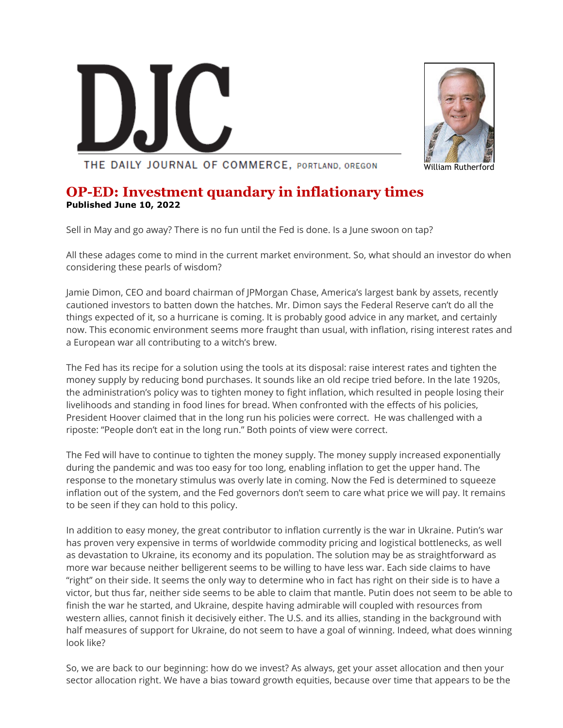



THE DAILY JOURNAL OF COMMERCE, PORTLAND, OREGON

## **OP-ED: Investment quandary in inflationary times Published June 10, 2022**

Sell in May and go away? There is no fun until the Fed is done. Is a June swoon on tap?

All these adages come to mind in the current market environment. So, what should an investor do when considering these pearls of wisdom?

Jamie Dimon, CEO and board chairman of JPMorgan Chase, America's largest bank by assets, recently cautioned investors to batten down the hatches. Mr. Dimon says the Federal Reserve can't do all the things expected of it, so a hurricane is coming. It is probably good advice in any market, and certainly now. This economic environment seems more fraught than usual, with inflation, rising interest rates and a European war all contributing to a witch's brew.

The Fed has its recipe for a solution using the tools at its disposal: raise interest rates and tighten the money supply by reducing bond purchases. It sounds like an old recipe tried before. In the late 1920s, the administration's policy was to tighten money to fight inflation, which resulted in people losing their livelihoods and standing in food lines for bread. When confronted with the effects of his policies, President Hoover claimed that in the long run his policies were correct. He was challenged with a riposte: "People don't eat in the long run." Both points of view were correct.

The Fed will have to continue to tighten the money supply. The money supply increased exponentially during the pandemic and was too easy for too long, enabling inflation to get the upper hand. The response to the monetary stimulus was overly late in coming. Now the Fed is determined to squeeze inflation out of the system, and the Fed governors don't seem to care what price we will pay. It remains to be seen if they can hold to this policy.

In addition to easy money, the great contributor to inflation currently is the war in Ukraine. Putin's war has proven very expensive in terms of worldwide commodity pricing and logistical bottlenecks, as well as devastation to Ukraine, its economy and its population. The solution may be as straightforward as more war because neither belligerent seems to be willing to have less war. Each side claims to have "right" on their side. It seems the only way to determine who in fact has right on their side is to have a victor, but thus far, neither side seems to be able to claim that mantle. Putin does not seem to be able to finish the war he started, and Ukraine, despite having admirable will coupled with resources from western allies, cannot finish it decisively either. The U.S. and its allies, standing in the background with half measures of support for Ukraine, do not seem to have a goal of winning. Indeed, what does winning look like?

So, we are back to our beginning: how do we invest? As always, get your asset allocation and then your sector allocation right. We have a bias toward growth equities, because over time that appears to be the